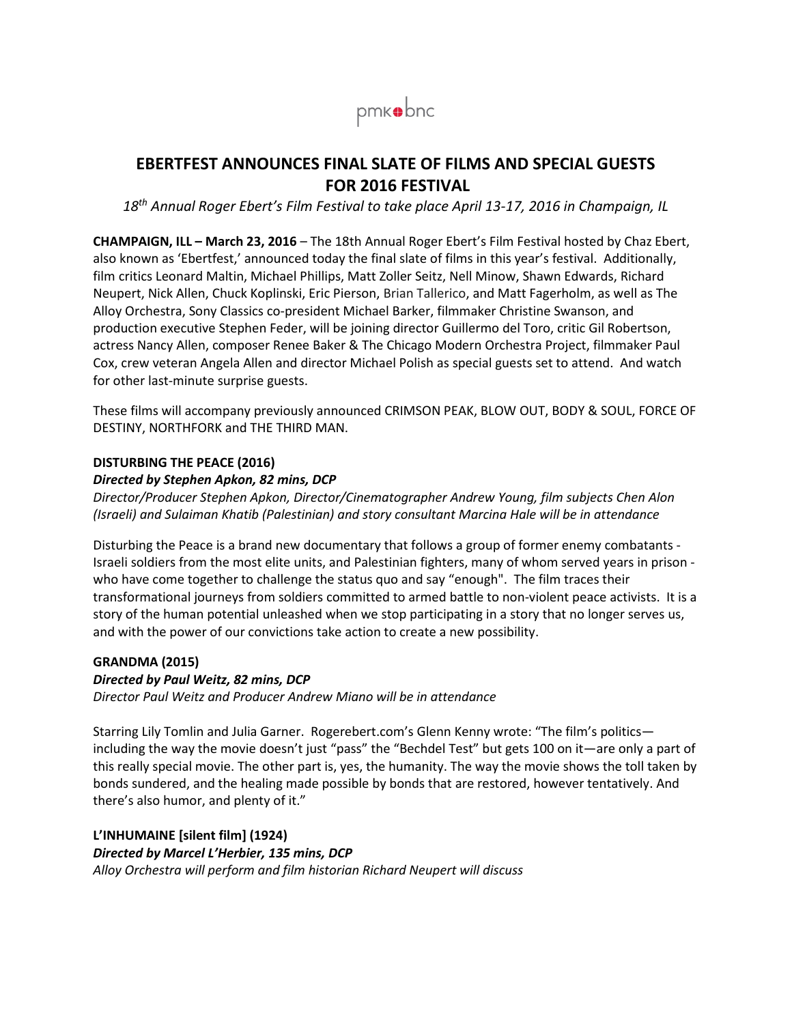

## **EBERTFEST ANNOUNCES FINAL SLATE OF FILMS AND SPECIAL GUESTS FOR 2016 FESTIVAL**

*18th Annual Roger Ebert's Film Festival to take place April 13-17, 2016 in Champaign, IL*

**CHAMPAIGN, ILL – March 23, 2016** – The 18th Annual Roger Ebert's Film Festival hosted by Chaz Ebert, also known as 'Ebertfest,' announced today the final slate of films in this year's festival. Additionally, film critics Leonard Maltin, Michael Phillips, Matt Zoller Seitz, Nell Minow, Shawn Edwards, Richard Neupert, Nick Allen, Chuck Koplinski, Eric Pierson, Brian Tallerico, and Matt Fagerholm, as well as The Alloy Orchestra, Sony Classics co-president Michael Barker, filmmaker Christine Swanson, and production executive Stephen Feder, will be joining director Guillermo del Toro, critic Gil Robertson, actress Nancy Allen, composer Renee Baker & The Chicago Modern Orchestra Project, filmmaker Paul Cox, crew veteran Angela Allen and director Michael Polish as special guests set to attend. And watch for other last-minute surprise guests.

These films will accompany previously announced CRIMSON PEAK, BLOW OUT, BODY & SOUL, FORCE OF DESTINY, NORTHFORK and THE THIRD MAN.

#### **DISTURBING THE PEACE (2016)**

#### *Directed by Stephen Apkon, 82 mins, DCP*

*Director/Producer Stephen Apkon, Director/Cinematographer Andrew Young, film subjects Chen Alon (Israeli) and Sulaiman Khatib (Palestinian) and story consultant Marcina Hale will be in attendance*

Disturbing the Peace is a brand new documentary that follows a group of former enemy combatants - Israeli soldiers from the most elite units, and Palestinian fighters, many of whom served years in prison who have come together to challenge the status quo and say "enough". The film traces their transformational journeys from soldiers committed to armed battle to non-violent peace activists. It is a story of the human potential unleashed when we stop participating in a story that no longer serves us, and with the power of our convictions take action to create a new possibility.

#### **GRANDMA (2015)**

#### *Directed by Paul Weitz, 82 mins, DCP*

*Director Paul Weitz and Producer Andrew Miano will be in attendance*

Starring Lily Tomlin and Julia Garner. Rogerebert.com's Glenn Kenny wrote: "The film's politics including the way the movie doesn't just "pass" the "Bechdel Test" but gets 100 on it—are only a part of this really special movie. The other part is, yes, the humanity. The way the movie shows the toll taken by bonds sundered, and the healing made possible by bonds that are restored, however tentatively. And there's also humor, and plenty of it."

# **L'INHUMAINE [silent film] (1924)**

*Directed by Marcel L'Herbier, 135 mins, DCP*

*Alloy Orchestra will perform and film historian Richard Neupert will discuss*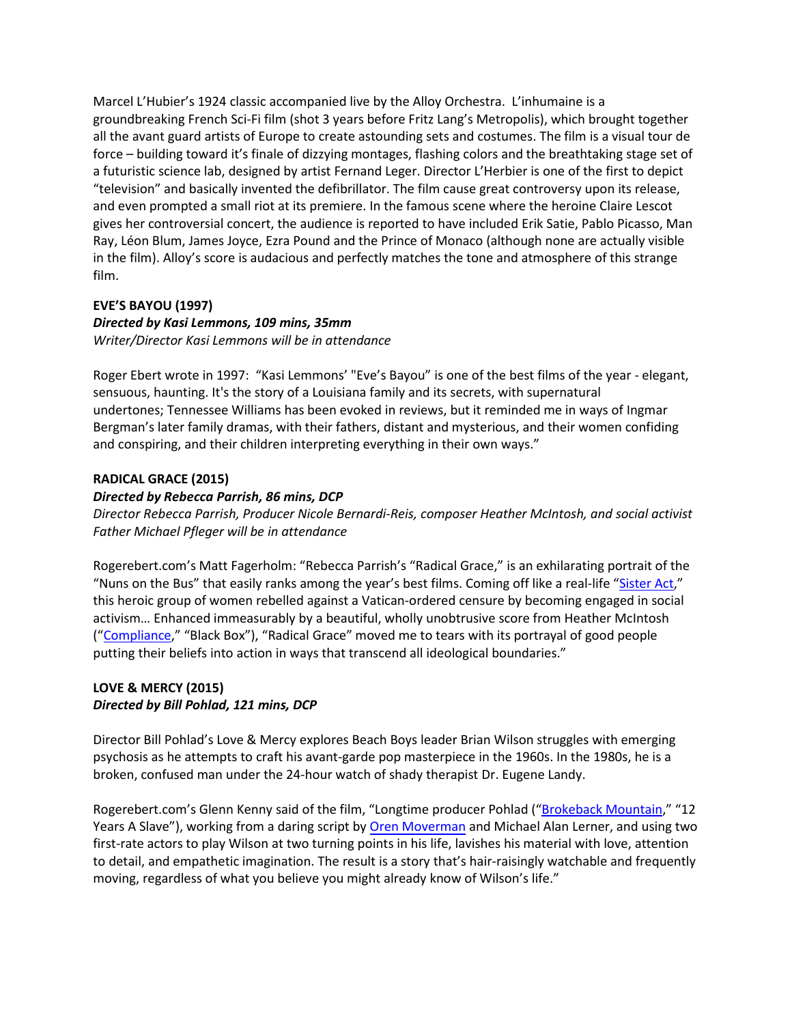Marcel L'Hubier's 1924 classic accompanied live by the Alloy Orchestra. L'inhumaine is a groundbreaking French Sci-Fi film (shot 3 years before Fritz Lang's Metropolis), which brought together all the avant guard artists of Europe to create astounding sets and costumes. The film is a visual tour de force – building toward it's finale of dizzying montages, flashing colors and the breathtaking stage set of a futuristic science lab, designed by artist Fernand Leger. Director L'Herbier is one of the first to depict "television" and basically invented the defibrillator. The film cause great controversy upon its release, and even prompted a small riot at its premiere. In the famous scene where the heroine Claire Lescot gives her controversial concert, the audience is reported to have included Erik Satie, Pablo Picasso, Man Ray, Léon Blum, James Joyce, Ezra Pound and the Prince of Monaco (although none are actually visible in the film). Alloy's score is audacious and perfectly matches the tone and atmosphere of this strange film.

#### **EVE'S BAYOU (1997)**

## *Directed by Kasi Lemmons, 109 mins, 35mm*

*Writer/Director Kasi Lemmons will be in attendance*

Roger Ebert wrote in 1997: "Kasi Lemmons' "Eve's Bayou" is one of the best films of the year - elegant, sensuous, haunting. It's the story of a Louisiana family and its secrets, with supernatural undertones; Tennessee Williams has been evoked in reviews, but it reminded me in ways of Ingmar Bergman's later family dramas, with their fathers, distant and mysterious, and their women confiding and conspiring, and their children interpreting everything in their own ways."

#### **RADICAL GRACE (2015)**

### *Directed by Rebecca Parrish, 86 mins, DCP*

*Director Rebecca Parrish, Producer Nicole Bernardi-Reis, composer Heather McIntosh, and social activist Father Michael Pfleger will be in attendance*

Rogerebert.com's Matt Fagerholm: "Rebecca Parrish's "Radical Grace," is an exhilarating portrait of the "Nuns on the Bus" that easily ranks among the year's best films. Coming off like a real-life ["Sister Act,](http://www.rogerebert.com/reviews/sister-act-1992)" this heroic group of women rebelled against a Vatican-ordered censure by becoming engaged in social activism… Enhanced immeasurably by a beautiful, wholly unobtrusive score from Heather McIntosh (["Compliance,](http://www.rogerebert.com/reviews/compliance-2012)" "Black Box"), "Radical Grace" moved me to tears with its portrayal of good people putting their beliefs into action in ways that transcend all ideological boundaries."

### **LOVE & MERCY (2015)** *Directed by Bill Pohlad, 121 mins, DCP*

Director Bill Pohlad's Love & Mercy explores Beach Boys leader Brian Wilson struggles with emerging psychosis as he attempts to craft his avant-garde pop masterpiece in the 1960s. In the 1980s, he is a broken, confused man under the 24-hour watch of shady therapist Dr. Eugene Landy.

Rogerebert.com's Glenn Kenny said of the film, "Longtime producer Pohlad (["Brokeback Mountain,](http://www.rogerebert.com/reviews/brokeback-mountain-2005)" "12 Years A Slave"), working from a daring script by [Oren Moverman](http://www.rogerebert.com/cast-and-crew/oren-moverman) and Michael Alan Lerner, and using two first-rate actors to play Wilson at two turning points in his life, lavishes his material with love, attention to detail, and empathetic imagination. The result is a story that's hair-raisingly watchable and frequently moving, regardless of what you believe you might already know of Wilson's life."